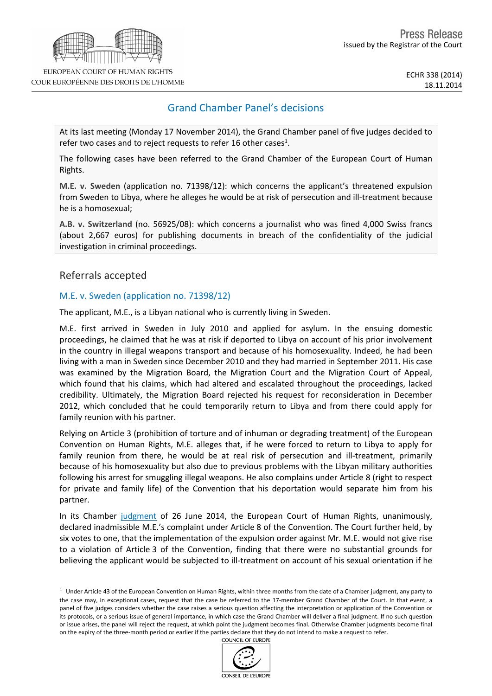# Grand Chamber Panel's decisions

At its last meeting (Monday 17 November 2014), the Grand Chamber panel of five judges decided to refer two cases and to reject requests to refer 16 other cases<sup>1</sup>.

The following cases have been referred to the Grand Chamber of the European Court of Human Rights.

**M.E. v. Sweden** (application no. 71398/12): which concerns the applicant's threatened expulsion from Sweden to Libya, where he alleges he would be at risk of persecution and ill-treatment because he is a homosexual;

**A.B. v. Switzerland** (no. 56925/08): which concerns a journalist who was fined 4,000 Swiss francs (about 2,667 euros) for publishing documents in breach of the confidentiality of the judicial investigation in criminal proceedings.

Referrals accepted

#### M.E. v. Sweden (application no. 71398/12)

The applicant, M.E., is a Libyan national who is currently living in Sweden.

M.E. first arrived in Sweden in July 2010 and applied for asylum. In the ensuing domestic proceedings, he claimed that he was at risk if deported to Libya on account of his prior involvement in the country in illegal weapons transport and because of his homosexuality. Indeed, he had been living with a man in Sweden since December 2010 and they had married in September 2011. His case was examined by the Migration Board, the Migration Court and the Migration Court of Appeal, which found that his claims, which had altered and escalated throughout the proceedings, lacked credibility. Ultimately, the Migration Board rejected his request for reconsideration in December 2012, which concluded that he could temporarily return to Libya and from there could apply for family reunion with his partner.

Relying on Article 3 (prohibition of torture and of inhuman or degrading treatment) of the European Convention on Human Rights, M.E. alleges that, if he were forced to return to Libya to apply for family reunion from there, he would be at real risk of persecution and ill-treatment, primarily because of his homosexuality but also due to previous problems with the Libyan military authorities following his arrest for smuggling illegal weapons. He also complains under Article 8 (right to respect for private and family life) of the Convention that his deportation would separate him from his partner.

In its Chamber [judgment](http://hudoc.echr.coe.int/sites/eng-press/pages/search.aspx?i=003-4804665-5854978) of 26 June 2014, the European Court of Human Rights, unanimously, declared inadmissible M.E.'s complaint under Article 8 of the Convention. The Court further held, by six votes to one, that the implementation of the expulsion order against Mr. M.E. would not give rise to a violation of Article 3 of the Convention, finding that there were no substantial grounds for believing the applicant would be subjected to ill-treatment on account of his sexual orientation if he

 $1$  Under Article 43 of the European Convention on Human Rights, within three months from the date of a Chamber judgment, any party to the case may, in exceptional cases, request that the case be referred to the 17-member Grand Chamber of the Court. In that event, a panel of five judges considers whether the case raises a serious question affecting the interpretation or application of the Convention or its protocols, or a serious issue of general importance, in which case the Grand Chamber will deliver a final judgment. If no such question or issue arises, the panel will reject the request, at which point the judgment becomes final. Otherwise Chamber judgments become final on the expiry of the three-month period or earlier if the parties declare that they do not intend to make a request to refer.**COUNCIL OF EUROPE** 



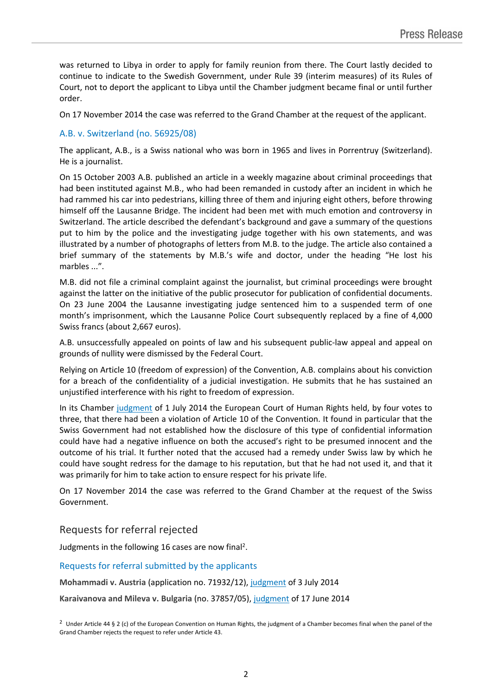was returned to Libya in order to apply for family reunion from there. The Court lastly decided to continue to indicate to the Swedish Government, under Rule 39 (interim measures) of its Rules of Court, not to deport the applicant to Libya until the Chamber judgment became final or until further order.

On 17 November 2014 the case was referred to the Grand Chamber at the request of the applicant.

### A.B. v. Switzerland (no. 56925/08)

The applicant, A.B., is a Swiss national who was born in 1965 and lives in Porrentruy (Switzerland). He is a journalist.

On 15 October 2003 A.B. published an article in a weekly magazine about criminal proceedings that had been instituted against M.B., who had been remanded in custody after an incident in which he had rammed his car into pedestrians, killing three of them and injuring eight others, before throwing himself off the Lausanne Bridge. The incident had been met with much emotion and controversy in Switzerland. The article described the defendant's background and gave a summary of the questions put to him by the police and the investigating judge together with his own statements, and was illustrated by a number of photographs of letters from M.B. to the judge. The article also contained a brief summary of the statements by M.B.'s wife and doctor, under the heading "He lost his marbles ...".

M.B. did not file a criminal complaint against the journalist, but criminal proceedings were brought against the latter on the initiative of the public prosecutor for publication of confidential documents. On 23 June 2004 the Lausanne investigating judge sentenced him to a suspended term of one month's imprisonment, which the Lausanne Police Court subsequently replaced by a fine of 4,000 Swiss francs (about 2,667 euros).

A.B. unsuccessfully appealed on points of law and his subsequent public-law appeal and appeal on grounds of nullity were dismissed by the Federal Court.

Relying on Article 10 (freedom of expression) of the Convention, A.B. complains about his conviction for a breach of the confidentiality of a judicial investigation. He submits that he has sustained an unjustified interference with his right to freedom of expression.

In its Chamber [judgment](http://hudoc.echr.coe.int/sites/eng-press/pages/search.aspx?i=003-4809168-5861692) of 1 July 2014 the European Court of Human Rights held, by four votes to three, that there had been a violation of Article 10 of the Convention. It found in particular that the Swiss Government had not established how the disclosure of this type of confidential information could have had a negative influence on both the accused's right to be presumed innocent and the outcome of his trial. It further noted that the accused had a remedy under Swiss law by which he could have sought redress for the damage to his reputation, but that he had not used it, and that it was primarily for him to take action to ensure respect for his private life.

On 17 November 2014 the case was referred to the Grand Chamber at the request of the Swiss Government.

## Requests for referral rejected

Judgments in the following 16 cases are now final<sup>2</sup>.

Requests for referral submitted by the applicants

**Mohammadi v. Austria** (application no. 71932/12), [judgment](http://hudoc.echr.coe.int/sites/eng-press/pages/search.aspx?i=003-4811501-5865330) of 3 July 2014

**Karaivanova and Mileva v. Bulgaria** (no. 37857/05), [judgment](http://hudoc.echr.coe.int/sites/eng-press/pages/search.aspx?i=003-4794778-5840090) of 17 June 2014

<sup>2</sup> Under Article 44 § 2 (c) of the European Convention on Human Rights, the judgment of a Chamber becomes final when the panel of the Grand Chamber rejects the request to refer under Article 43.